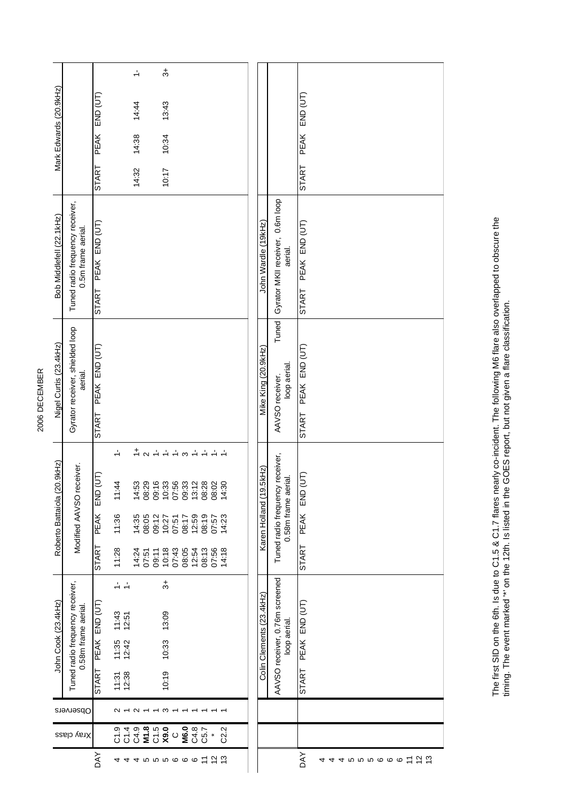| Mark Edwards (20.9kHz)      |                                                        | END (UT)<br><b>PEAK</b><br>START | $\div$<br>14:44<br>14:38<br>14:32                                                                                                                                                                                   | $\ddot{ }$<br>13:43<br>10:34<br>10:17                                                                                                                                                                                                                                                                                 |                                                                                                                                  |      |                          |                                                        | PEAK END (UT)<br><b>START</b>             |
|-----------------------------|--------------------------------------------------------|----------------------------------|---------------------------------------------------------------------------------------------------------------------------------------------------------------------------------------------------------------------|-----------------------------------------------------------------------------------------------------------------------------------------------------------------------------------------------------------------------------------------------------------------------------------------------------------------------|----------------------------------------------------------------------------------------------------------------------------------|------|--------------------------|--------------------------------------------------------|-------------------------------------------|
| Bob Middlefell (22.1kHz)    | Tuned radio frequency receiver,<br>0.5m frame aerial.  | PEAK END (UT)<br><b>START</b>    |                                                                                                                                                                                                                     |                                                                                                                                                                                                                                                                                                                       |                                                                                                                                  |      | John Wardle (19kHz)      | Gyrator MKII receiver, 0.6m loop<br>aerial.            | PEAK END (UT)<br><b>START</b>             |
| Nigel Curtis (23.4kHz)      | Gyrator receiver, shielded loop<br>aerial.             | PEAK END (UT)<br><b>START</b>    |                                                                                                                                                                                                                     |                                                                                                                                                                                                                                                                                                                       |                                                                                                                                  |      | Mike King (20.9kHz)      | Tuned<br>loop aerial.<br>AAVSO receiver.               | PEAK END (UT)<br><b>START</b>             |
| Roberto Battaiola (20.9kHz) | Modified AAVSO receiver.                               | (TU)<br>END<br>PEAK<br>START     | $\frac{1}{\tau} \sim \frac{1}{\gamma} \frac{1}{\tau}$<br>11:44<br>11:36<br>$\begin{array}{c} 4.35 \\ 26.05 \\ 20.27 \\ 0 \\ 0 \\ 0 \\ 0 \\ \end{array}$<br>11:28<br>$14.50$<br>$0.57$<br>$0.57$<br>$0.54$<br>$0.54$ | $\leftarrow$<br>$\mathfrak{S}$<br>$\begin{array}{l} 19999900\\ 1999900\\ 199900\\ 199900\\ 199900\\ 199900\\ 199900\\ 199900\\ 199900\\ 199900\\ 199900\\ 199900\\ 199900\\ 199900\\ 199900\\ 199900\\ 199900\\ 199900\\ 199900\\ 199900\\ 199900\\ 199900\\ 199900\\ 199900\\ 199900\\ 199900\\ 1$<br>07:51<br>07:43 | $\frac{1}{2}$<br>$\frac{1}{2}$<br>$\div$ $\div$<br>25:59<br>12:59<br>13:57<br>13:29<br>13:30<br>08:05<br>25:13<br>08:13<br>08:13 |      | Karen Holland (19.5kHz)  | Tuned radio frequency receiver,<br>0.58m frame aerial. | (T)<br>END<br><b>PEAK</b><br><b>START</b> |
| John Cook (23.4kHz)         | Tuned radio frequency receiver,<br>0.58m frame aerial. | PEAK END (UT)<br><b>START</b>    | $\frac{1}{2}$ $\frac{1}{2}$<br>$11:43$<br>$12:51$<br>$11:35$<br>$12:42$<br>11:31<br>12:38                                                                                                                           | ౘ<br>13:09<br>10:33<br>10:19                                                                                                                                                                                                                                                                                          |                                                                                                                                  |      | Colin Clements (23.4kHz) | AAVSO receiver, 0.76m screened<br>loop aerial.         | START PEAK END (UT)                       |
|                             | Observers                                              |                                  | $\sim$<br>$\sim$<br>$\overline{ }$                                                                                                                                                                                  | $\frac{1}{2}$                                                                                                                                                                                                                                                                                                         |                                                                                                                                  |      |                          |                                                        |                                           |
|                             | Xray class                                             |                                  |                                                                                                                                                                                                                     | M6.0<br>$\circ$                                                                                                                                                                                                                                                                                                       | C4.8<br>C5.7<br>$\ddot{\phantom{1}}$                                                                                             | C2.2 |                          |                                                        |                                           |
|                             |                                                        | DAY                              | 4                                                                                                                                                                                                                   | 45556661亿亿                                                                                                                                                                                                                                                                                                            |                                                                                                                                  |      |                          |                                                        | <b>DAY</b><br>45556661亿亿<br>4             |

The first SID on the 6th. Is due to C1.5 & C1.7 flares nearly co-incident. The following M6 flare also overlapped to obscure the<br>timing. The event marked "" on the 12th. Is listed in the GOES report, but not given a flare The first SID on the 6th. Is due to C1.5 & C1.7 flares nearly co-incident. The following M6 flare also overlapped to obscure the timing. The event marked '\*' on the 12th. Is listed in the GOES report, but not given a flare classification.

## 2006 DECEMBER 2006 DECEMBER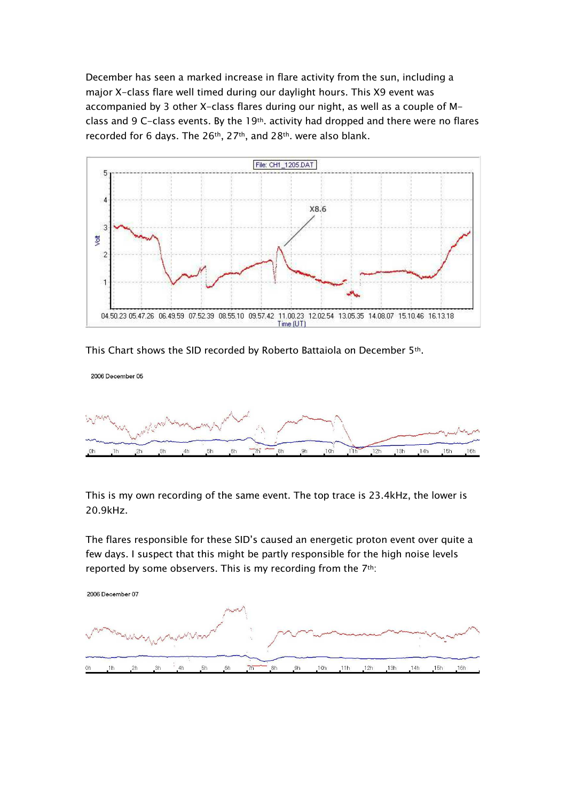December has seen a marked increase in flare activity from the sun, including a major X-class flare well timed during our daylight hours. This X9 event was accompanied by 3 other X-class flares during our night, as well as a couple of Mclass and 9 C-class events. By the 19<sup>th</sup>. activity had dropped and there were no flares recorded for 6 days. The 26<sup>th</sup>, 27<sup>th</sup>, and 28<sup>th</sup>. were also blank.



This Chart shows the SID recorded by Roberto Battaiola on December 5th.



This is my own recording of the same event. The top trace is 23.4kHz, the lower is 20.9kHz.

The flares responsible for these SID's caused an energetic proton event over quite a few days. I suspect that this might be partly responsible for the high noise levels reported by some observers. This is my recording from the 7th:

2006 December 07

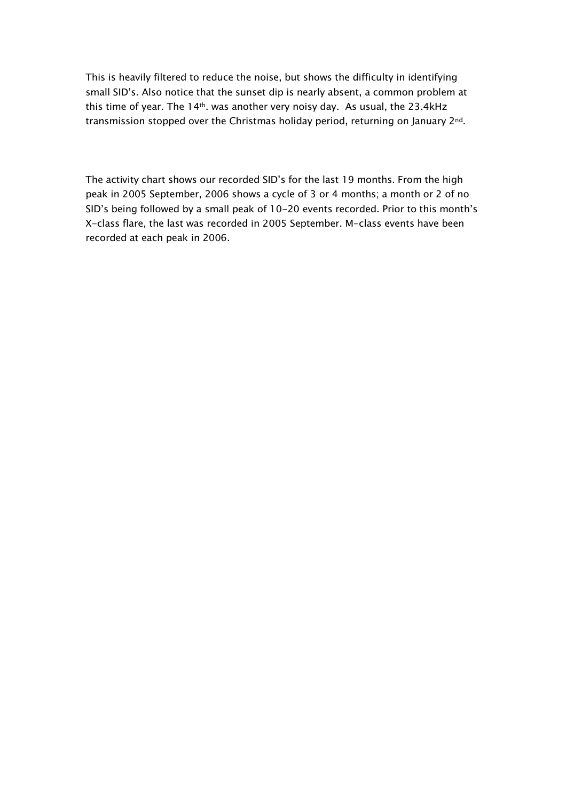This is heavily filtered to reduce the noise, but shows the difficulty in identifying small SID's. Also notice that the sunset dip is nearly absent, a common problem at this time of year. The 14<sup>th</sup>. was another very noisy day. As usual, the 23.4kHz transmission stopped over the Christmas holiday period, returning on January 2<sup>nd</sup>.

The activity chart shows our recorded SID's for the last 19 months. From the high peak in 2005 September, 2006 shows a cycle of 3 or 4 months; a month or 2 of no SID's being followed by a small peak of 10-20 events recorded. Prior to this month's X-class flare, the last was recorded in 2005 September. M-class events have been recorded at each peak in 2006.